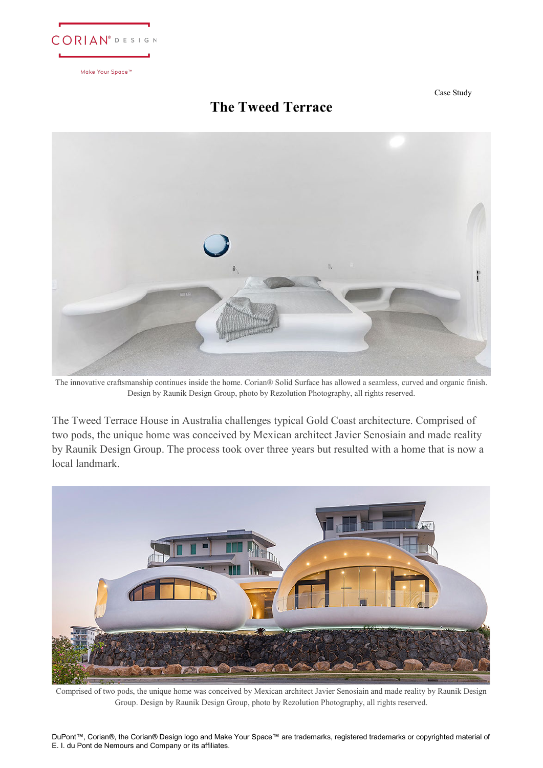

Case Study

## **The Tweed Terrace**



The innovative craftsmanship continues inside the home. Corian® Solid Surface has allowed a seamless, curved and organic finish. Design by Raunik Design Group, photo by Rezolution Photography, all rights reserved.

The Tweed Terrace House in Australia challenges typical Gold Coast architecture. Comprised of two pods, the unique home was conceived by Mexican architect Javier Senosiain and made reality by Raunik Design Group. The process took over three years but resulted with a home that is now a local landmark.



Comprised of two pods, the unique home was conceived by Mexican architect Javier Senosiain and made reality by Raunik Design Group. Design by Raunik Design Group, photo by Rezolution Photography, all rights reserved.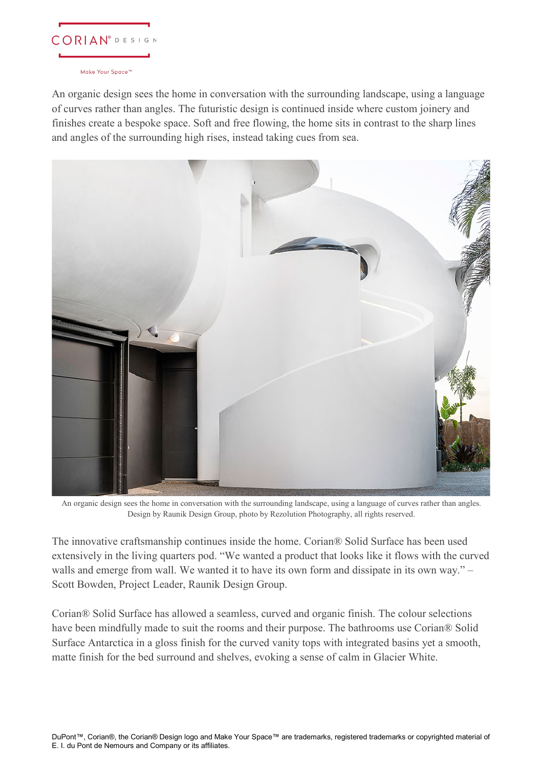

An organic design sees the home in conversation with the surrounding landscape, using a language of curves rather than angles. The futuristic design is continued inside where custom joinery and finishes create a bespoke space. Soft and free flowing, the home sits in contrast to the sharp lines and angles of the surrounding high rises, instead taking cues from sea.



An organic design sees the home in conversation with the surrounding landscape, using a language of curves rather than angles. Design by Raunik Design Group, photo by Rezolution Photography, all rights reserved.

The innovative craftsmanship continues inside the home. Corian® Solid Surface has been used extensively in the living quarters pod. "We wanted a product that looks like it flows with the curved walls and emerge from wall. We wanted it to have its own form and dissipate in its own way." – Scott Bowden, Project Leader, Raunik Design Group.

Corian® Solid Surface has allowed a seamless, curved and organic finish. The colour selections have been mindfully made to suit the rooms and their purpose. The bathrooms use Corian® Solid Surface Antarctica in a gloss finish for the curved vanity tops with integrated basins yet a smooth, matte finish for the bed surround and shelves, evoking a sense of calm in Glacier White.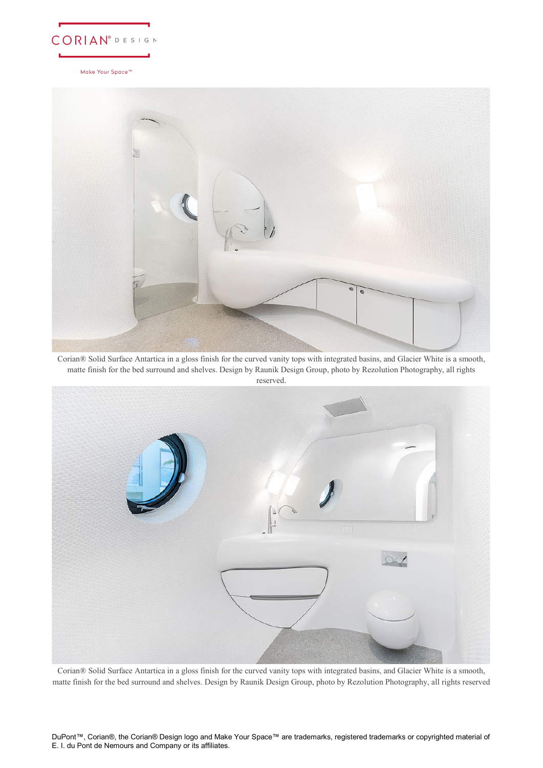



Corian® Solid Surface Antartica in a gloss finish for the curved vanity tops with integrated basins, and Glacier White is a smooth, matte finish for the bed surround and shelves. Design by Raunik Design Group, photo by Rezolution Photography, all rights reserved.



Corian® Solid Surface Antartica in a gloss finish for the curved vanity tops with integrated basins, and Glacier White is a smooth, matte finish for the bed surround and shelves. Design by Raunik Design Group, photo by Rezolution Photography, all rights reserved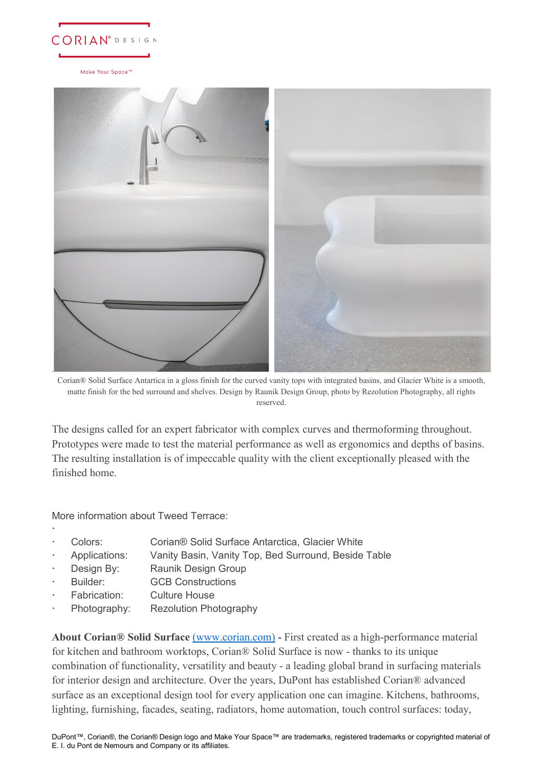



Corian® Solid Surface Antartica in a gloss finish for the curved vanity tops with integrated basins, and Glacier White is a smooth, matte finish for the bed surround and shelves. Design by Raunik Design Group, photo by Rezolution Photography, all rights reserved.

The designs called for an expert fabricator with complex curves and thermoforming throughout. Prototypes were made to test the material performance as well as ergonomics and depths of basins. The resulting installation is of impeccable quality with the client exceptionally pleased with the finished home.

More information about Tweed Terrace:

 $\ddot{\phantom{0}}$ 

- Colors: Corian® Solid Surface Antarctica, Glacier White
- Applications: Vanity Basin, Vanity Top, Bed Surround, Beside Table
- Design By: Raunik Design Group
- Builder: GCB Constructions
- Fabrication: Culture House
- Photography: Rezolution Photography

**About Corian® Solid Surface** [\(www.corian.com\)](http://www.corian.com/) - First created as a high-performance material for kitchen and bathroom worktops, Corian® Solid Surface is now - thanks to its unique combination of functionality, versatility and beauty - a leading global brand in surfacing materials for interior design and architecture. Over the years, DuPont has established Corian® advanced surface as an exceptional design tool for every application one can imagine. Kitchens, bathrooms, lighting, furnishing, facades, seating, radiators, home automation, touch control surfaces: today,